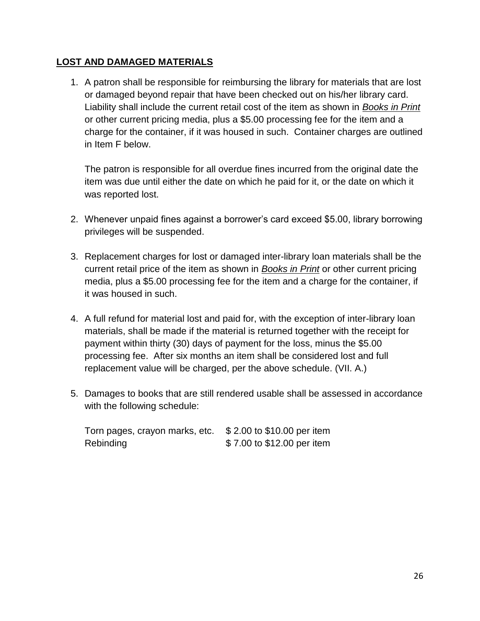## **LOST AND DAMAGED MATERIALS**

1. A patron shall be responsible for reimbursing the library for materials that are lost or damaged beyond repair that have been checked out on his/her library card. Liability shall include the current retail cost of the item as shown in *Books in Print* or other current pricing media, plus a \$5.00 processing fee for the item and a charge for the container, if it was housed in such. Container charges are outlined in Item F below.

The patron is responsible for all overdue fines incurred from the original date the item was due until either the date on which he paid for it, or the date on which it was reported lost.

- 2. Whenever unpaid fines against a borrower's card exceed \$5.00, library borrowing privileges will be suspended.
- 3. Replacement charges for lost or damaged inter-library loan materials shall be the current retail price of the item as shown in *Books in Print* or other current pricing media, plus a \$5.00 processing fee for the item and a charge for the container, if it was housed in such.
- 4. A full refund for material lost and paid for, with the exception of inter-library loan materials, shall be made if the material is returned together with the receipt for payment within thirty (30) days of payment for the loss, minus the \$5.00 processing fee. After six months an item shall be considered lost and full replacement value will be charged, per the above schedule. (VII. A.)
- 5. Damages to books that are still rendered usable shall be assessed in accordance with the following schedule:

| Torn pages, crayon marks, etc. \$2.00 to \$10.00 per item |                            |
|-----------------------------------------------------------|----------------------------|
| Rebinding                                                 | \$7.00 to \$12.00 per item |